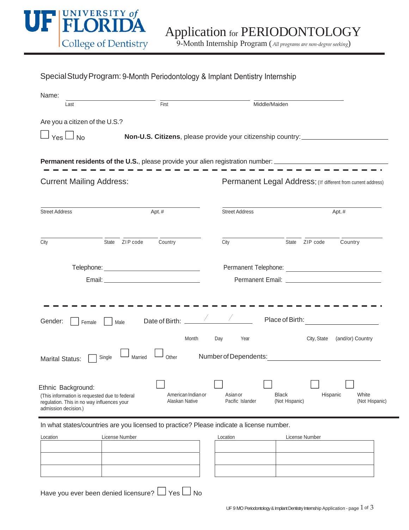

| Special Study Program: 9-Month Periodontology & Implant Dentistry Internship |  |  |
|------------------------------------------------------------------------------|--|--|
|------------------------------------------------------------------------------|--|--|

| Name:                                                                                                                                                                             |                                                                                                                        |
|-----------------------------------------------------------------------------------------------------------------------------------------------------------------------------------|------------------------------------------------------------------------------------------------------------------------|
| First<br>Last                                                                                                                                                                     | Middle/Maiden                                                                                                          |
| Are you a citizen of the U.S.?                                                                                                                                                    |                                                                                                                        |
| $Yes \Box No$                                                                                                                                                                     | Non-U.S. Citizens, please provide your citizenship country: ____________________                                       |
|                                                                                                                                                                                   |                                                                                                                        |
|                                                                                                                                                                                   | <b>Permanent residents of the U.S.</b> , please provide your alien registration number: ______________________________ |
| <b>Current Mailing Address:</b>                                                                                                                                                   | Permanent Legal Address: (If different from current address)                                                           |
| <b>Street Address</b><br>Apt.#                                                                                                                                                    | <b>Street Address</b><br>Apt.#                                                                                         |
|                                                                                                                                                                                   |                                                                                                                        |
| State ZIP code<br>Country<br>City                                                                                                                                                 | State ZIP code<br>Country<br>City                                                                                      |
|                                                                                                                                                                                   |                                                                                                                        |
|                                                                                                                                                                                   |                                                                                                                        |
|                                                                                                                                                                                   |                                                                                                                        |
| Date of Birth:<br>Gender:<br>Male<br>Female                                                                                                                                       | Place of Birth:                                                                                                        |
| Month                                                                                                                                                                             | City, State<br>Day<br>Year<br>(and/or) Country                                                                         |
| Married<br>Other<br>Single<br><b>Marital Status:</b>                                                                                                                              | Number of Dependents: Number of Dependents:                                                                            |
| Ethnic Background:<br>American Indian or<br>(This information is requested due to federal<br>Alaskan Native<br>regulation. This in no way influences your<br>admission decision.) | White<br><b>Black</b><br>Hispanic<br>Asian or<br>Pacific Islander<br>(Not Hispanic)<br>(Not Hispanic)                  |

In what states/countries are you licensed to practice? Please indicate a license number.

| Location | License Number | Location | License Number |
|----------|----------------|----------|----------------|
|          |                |          |                |
|          |                |          |                |
|          |                |          |                |
|          |                |          |                |
|          |                |          |                |

| Location |  | License Number |
|----------|--|----------------|
|          |  |                |
|          |  |                |
|          |  |                |
|          |  |                |
|          |  |                |
|          |  |                |

Have you ever been denied licensure?  $\Box$  Yes  $\Box$  No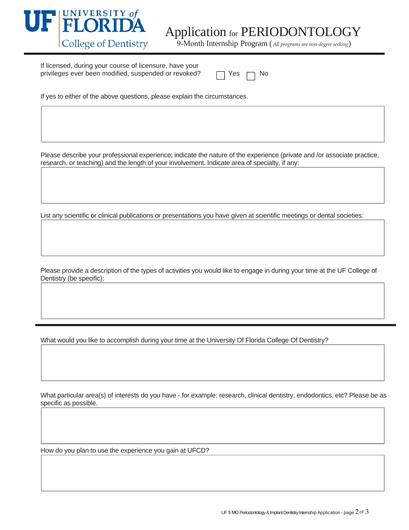

9-Month Internship Program (*All programs are non‐degree seeking*)

If licensed, during your course of licensure, have your privileges ever been modified, suspended or revoked?

|  |  | N٥ |
|--|--|----|
|--|--|----|

If yes to either of the above questions, please explain the circumstances.

Please describe your professional experience; indicate the nature of the experience (private and /or associate practice, research, or teaching) and the length of your involvement. Indicate area of specialty, if any:

List any scientific or clinical publications or presentations you have given at scientific meetings or dental societies:

Please provide a description of the types of activities you would like to engage in during your time at the UF College of Dentistry (be specific):

What would you like to accomplish during your time at the University Of Florida College Of Dentistry?

What particular area(s) of interests do you have - for example: research, clinical dentistry, endodontics, etc? Please be as specific as possible.

How do you plan to use the experience you gain at UFCD?